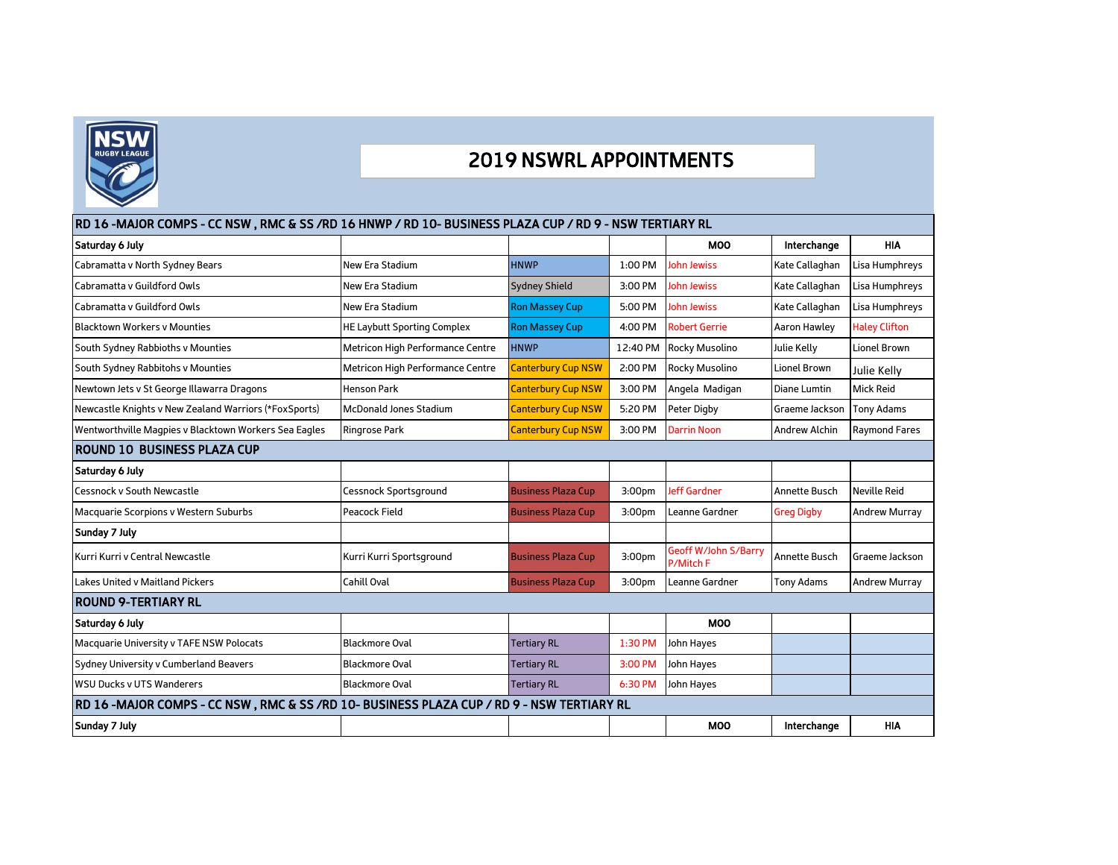

## 2019 NSWRL APPOINTMENTS

| RD 16-MAJOR COMPS - CC NSW, RMC & SS /RD 16 HNWP / RD 10- BUSINESS PLAZA CUP / RD 9 - NSW TERTIARY RL |                                    |                           |          |                                   |                      |                      |  |  |  |
|-------------------------------------------------------------------------------------------------------|------------------------------------|---------------------------|----------|-----------------------------------|----------------------|----------------------|--|--|--|
| Saturday 6 July                                                                                       |                                    |                           |          | <b>MOO</b>                        | Interchange          | <b>HIA</b>           |  |  |  |
| Cabramatta v North Sydney Bears                                                                       | <b>New Era Stadium</b>             | <b>HNWP</b>               | 1:00 PM  | <b>John Jewiss</b>                | Kate Callaghan       | Lisa Humphreys       |  |  |  |
| Cabramatta y Guildford Owls                                                                           | New Era Stadium                    | <b>Sydney Shield</b>      | 3:00 PM  | <b>John Jewiss</b>                | Kate Callaghan       | Lisa Humphreys       |  |  |  |
| Cabramatta v Guildford Owls                                                                           | New Era Stadium                    | <b>Ron Massey Cup</b>     | 5:00 PM  | <b>John Jewiss</b>                | Kate Callaghan       | Lisa Humphreys       |  |  |  |
| <b>Blacktown Workers v Mounties</b>                                                                   | <b>HE Laybutt Sporting Complex</b> | <b>Ron Massey Cup</b>     | 4:00 PM  | <b>Robert Gerrie</b>              | Aaron Hawlev         | <b>Haley Clifton</b> |  |  |  |
| South Sydney Rabbioths v Mounties                                                                     | Metricon High Performance Centre   | <b>HNWP</b>               | 12:40 PM | Rocky Musolino                    | Julie Kelly          | Lionel Brown         |  |  |  |
| South Sydney Rabbitohs v Mounties                                                                     | Metricon High Performance Centre   | <b>Canterbury Cup NSW</b> | 2:00 PM  | Rocky Musolino                    | Lionel Brown         | Julie Kelly          |  |  |  |
| Newtown Jets v St George Illawarra Dragons                                                            | <b>Henson Park</b>                 | <b>Canterbury Cup NSW</b> | 3:00 PM  | Angela Madigan                    | Diane Lumtin         | <b>Mick Reid</b>     |  |  |  |
| Newcastle Knights v New Zealand Warriors (*FoxSports)                                                 | <b>McDonald Jones Stadium</b>      | <b>Canterbury Cup NSW</b> | 5:20 PM  | Peter Digby                       | Graeme Jackson       | <b>Tony Adams</b>    |  |  |  |
| Wentworthville Magpies v Blacktown Workers Sea Eagles                                                 | <b>Ringrose Park</b>               | <b>Canterbury Cup NSW</b> | 3:00 PM  | <b>Darrin Noon</b>                | <b>Andrew Alchin</b> | <b>Raymond Fares</b> |  |  |  |
| <b>ROUND 10 BUSINESS PLAZA CUP</b>                                                                    |                                    |                           |          |                                   |                      |                      |  |  |  |
| Saturday 6 July                                                                                       |                                    |                           |          |                                   |                      |                      |  |  |  |
| Cessnock v South Newcastle                                                                            | <b>Cessnock Sportsground</b>       | <b>Business Plaza Cup</b> | 3:00pm   | <b>Jeff Gardner</b>               | <b>Annette Busch</b> | <b>Neville Reid</b>  |  |  |  |
| Macquarie Scorpions v Western Suburbs                                                                 | Peacock Field                      | <b>Business Plaza Cup</b> | 3:00pm   | Leanne Gardner                    | <b>Greg Digby</b>    | <b>Andrew Murray</b> |  |  |  |
| Sunday 7 July                                                                                         |                                    |                           |          |                                   |                      |                      |  |  |  |
| Kurri Kurri v Central Newcastle                                                                       | Kurri Kurri Sportsground           | <b>Business Plaza Cup</b> | 3:00pm   | Geoff W/John S/Barry<br>P/Mitch F | Annette Busch        | Graeme Jackson       |  |  |  |
| <b>Lakes United v Maitland Pickers</b>                                                                | Cahill Oval                        | <b>Business Plaza Cup</b> | 3:00pm   | Leanne Gardner                    | <b>Tony Adams</b>    | <b>Andrew Murray</b> |  |  |  |
| ROUND 9-TERTIARY RL                                                                                   |                                    |                           |          |                                   |                      |                      |  |  |  |
| Saturday 6 July                                                                                       |                                    |                           |          | <b>MOO</b>                        |                      |                      |  |  |  |
| Macquarie University v TAFE NSW Polocats                                                              | <b>Blackmore Oval</b>              | <b>Tertiary RL</b>        | 1:30 PM  | John Hayes                        |                      |                      |  |  |  |
| <b>Sydney University v Cumberland Beavers</b>                                                         | <b>Blackmore Oval</b>              | <b>Tertiary RL</b>        | 3:00 PM  | John Hayes                        |                      |                      |  |  |  |
| <b>WSU Ducks v UTS Wanderers</b>                                                                      | <b>Blackmore Oval</b>              | <b>Tertiary RL</b>        | 6:30 PM  | John Hayes                        |                      |                      |  |  |  |
| RD 16 -MAJOR COMPS - CC NSW, RMC & SS /RD 10- BUSINESS PLAZA CUP / RD 9 - NSW TERTIARY RL             |                                    |                           |          |                                   |                      |                      |  |  |  |
| Sunday 7 July                                                                                         |                                    |                           |          | <b>MOO</b>                        | Interchange          | <b>HIA</b>           |  |  |  |
|                                                                                                       |                                    |                           |          |                                   |                      |                      |  |  |  |